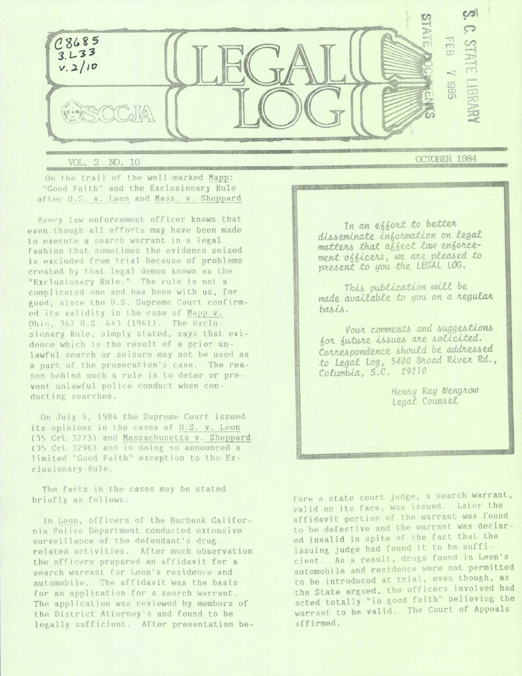

VOL. 2 NO. 10 On the trail of the well-marked Mapp:

"Good Faith" and the Exclusionary Rule after U.S. v. Leon and Mass. v. Sheppard

Every law enforcement officer knows that even though all efforts may have been made to execute a search warrant in a legal fashion that sometimes the evidence seized is excluded from trial because of problems created by that legal demon known as the "Exclusionary Rule." The rule is not a complicated one and has been with us, for good, since the U.S. Supreme Court confirmed its validity in the case of Mapp v. Ohio, 367 U.S. 643 (1961). The Exclusionary Rule, simply stated, says that evidence which is the result of a prior unlawful search or seizure may not be used as a part of the prosecution's case. The reason behind such a rule is to deter or prevent unlawful police conduct when conducting searches.

On July 5, 1984 the Supreme Court issued its opinions in the cases of U.S. v. Leon (35 CrL 3273) and Massachusetts v. Sheppard (35 CrL 3296) and in doing so announced a limited "Good Faith" exception to the Exclusionary Rule.

The facts in the cases may be stated briefly as follows:

In Leon, officers of the Burbank California Police Department conducted extensive surveillance of the defendant's drugrelated activities. After much observation the officers prepared an affidavit for a search warrant for Leon's residence and automobile. The affidavit was the basis for an application for a search warrant. The application was reviewed by members of the District Attorney's and found to be legally sufficient. After presentation beOCTOBER 1984

In an epport to better disseminate information on legal matters that affect law enforcement obbicers, we are pleased to present to you the LEGAL LOG.

This publication will be made available to you on a regular basis.

Your comments and suggestions for future issues are solicited. Correspondence should be addressed to Legal Log, 5400 Broad River Rd., Columbia, S.C. 29210

> Henry Ray Wengrow Legal Counsel

fore a state court judge, a search warrant, valid on its face, was issued. Later the affidavit portion of the warrant was found to be defective and the warrant was declared invalid in spite of the fact that the issuing judge had found it to be sufficient. As a result, drugs found in Leon's automobile and residence were not permitted to be introduced at trial, even though, as the State argued, the officers involved had acted totally "in good faith" believing the warrant to be valid. The Court of Appeals affirmed.